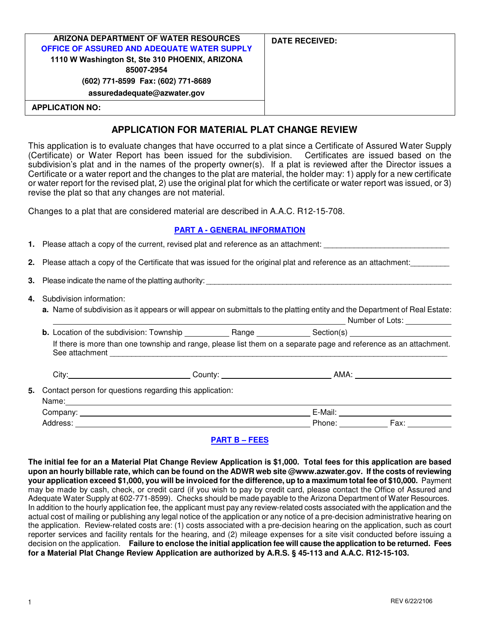| ARIZONA DEPARTMENT OF WATER RESOURCES<br>OFFICE OF ASSURED AND ADEQUATE WATER SUPPLY<br>1110 W Washington St, Ste 310 PHOENIX, ARIZONA<br>85007-2954<br>(602) 771-8599 Fax: (602) 771-8689<br>assuredadequate@azwater.gov | <b>DATE RECEIVED:</b> |
|---------------------------------------------------------------------------------------------------------------------------------------------------------------------------------------------------------------------------|-----------------------|
| <b>APPLICATION NO:</b>                                                                                                                                                                                                    |                       |

# **APPLICATION FOR MATERIAL PLAT CHANGE REVIEW**

This application is to evaluate changes that have occurred to a plat since a Certificate of Assured Water Supply (Certificate) or Water Report has been issued for the subdivision. Certificates are issued based on the subdivision's plat and in the names of the property owner(s). If a plat is reviewed after the Director issues a Certificate or a water report and the changes to the plat are material, the holder may: 1) apply for a new certificate or water report for the revised plat, 2) use the original plat for which the certificate or water report was issued, or 3) revise the plat so that any changes are not material.

Changes to a plat that are considered material are described in A.A.C. R12-15-708.

### **PART A - GENERAL INFORMATION**

|  | 1. Please attach a copy of the current, revised plat and reference as an attachment:                                                                       |  |  |             |  |  |
|--|------------------------------------------------------------------------------------------------------------------------------------------------------------|--|--|-------------|--|--|
|  | 2. Please attach a copy of the Certificate that was issued for the original plat and reference as an attachment:                                           |  |  |             |  |  |
|  |                                                                                                                                                            |  |  |             |  |  |
|  | 4. Subdivision information:<br>a. Name of subdivision as it appears or will appear on submittals to the platting entity and the Department of Real Estate: |  |  |             |  |  |
|  |                                                                                                                                                            |  |  |             |  |  |
|  | If there is more than one township and range, please list them on a separate page and reference as an attachment.                                          |  |  |             |  |  |
|  |                                                                                                                                                            |  |  |             |  |  |
|  | 5. Contact person for questions regarding this application:                                                                                                |  |  |             |  |  |
|  |                                                                                                                                                            |  |  |             |  |  |
|  |                                                                                                                                                            |  |  | Phone: Fax: |  |  |

## **PART B – FEES**

**The initial fee for an a Material Plat Change Review Application is \$1,000. Total fees for this application are based upon an hourly billable rate, which can be found on the ADWR web site @www.azwater.gov. If the costs of reviewing your application exceed \$1,000, you will be invoiced for the difference, up to a maximum total fee of \$10,000.** Payment may be made by cash, check, or credit card (if you wish to pay by credit card, please contact the Office of Assured and Adequate Water Supply at 602-771-8599). Checks should be made payable to the Arizona Department of Water Resources. In addition to the hourly application fee, the applicant must pay any review-related costs associated with the application and the actual cost of mailing or publishing any legal notice of the application or any notice of a pre-decision administrative hearing on the application. Review-related costs are: (1) costs associated with a pre-decision hearing on the application, such as court reporter services and facility rentals for the hearing, and (2) mileage expenses for a site visit conducted before issuing a decision on the application. **Failure to enclose the initial application fee will cause the application to be returned. Fees for a Material Plat Change Review Application are authorized by A.R.S. § 45-113 and A.A.C. R12-15-103.**